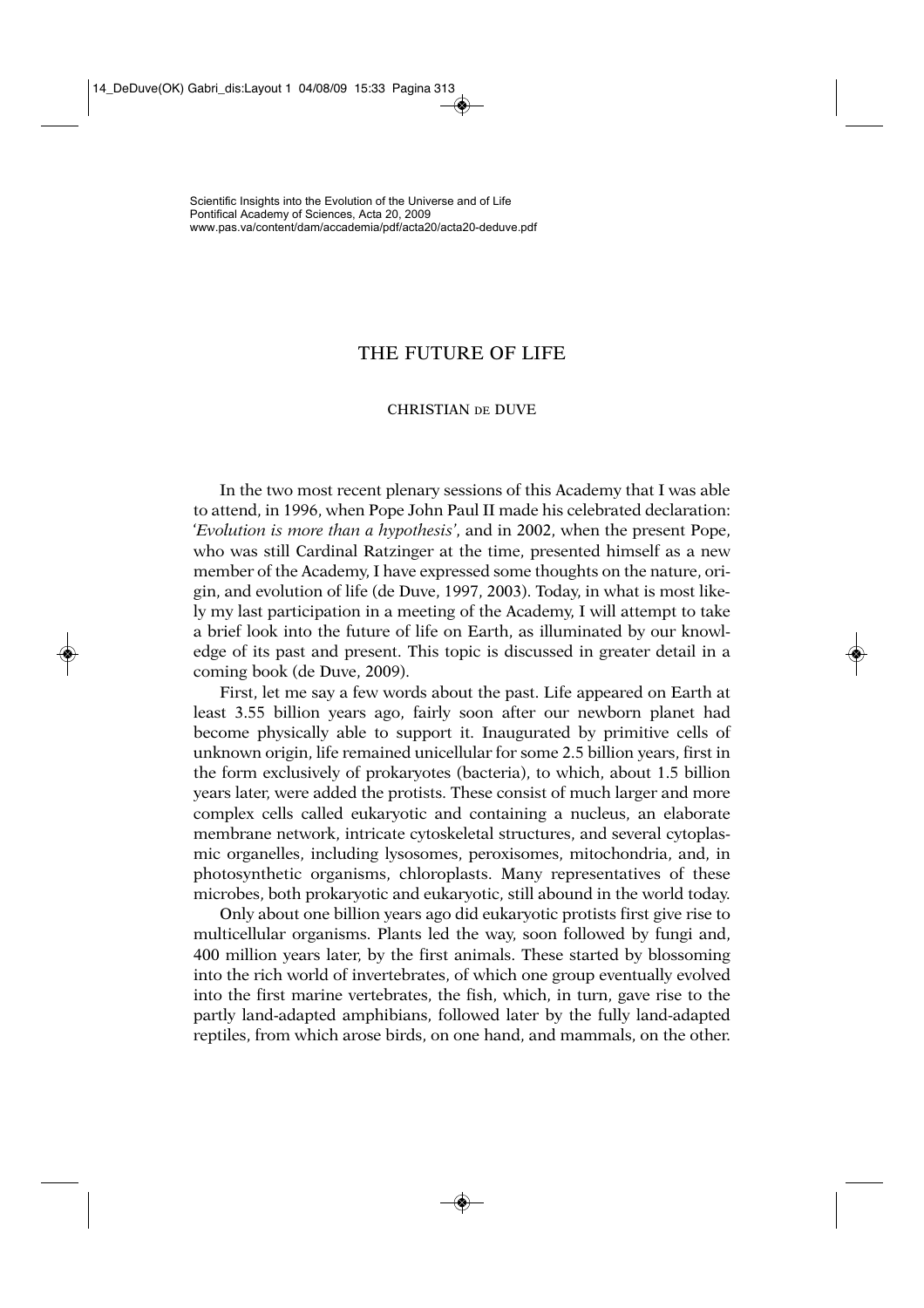## THE FUTURE OF LIFE

## CHRISTIAN DE DUVE

In the two most recent plenary sessions of this Academy that I was able to attend, in 1996, when Pope John Paul II made his celebrated declaration: '*Evolution is more than a hypothesis'*, and in 2002, when the present Pope, who was still Cardinal Ratzinger at the time, presented himself as a new member of the Academy, I have expressed some thoughts on the nature, origin, and evolution of life (de Duve, 1997, 2003). Today, in what is most likely my last participation in a meeting of the Academy, I will attempt to take a brief look into the future of life on Earth, as illuminated by our knowledge of its past and present. This topic is discussed in greater detail in a coming book (de Duve, 2009).

First, let me say a few words about the past. Life appeared on Earth at least 3.55 billion years ago, fairly soon after our newborn planet had become physically able to support it. Inaugurated by primitive cells of unknown origin, life remained unicellular for some 2.5 billion years, first in the form exclusively of prokaryotes (bacteria), to which, about 1.5 billion years later, were added the protists. These consist of much larger and more complex cells called eukaryotic and containing a nucleus, an elaborate membrane network, intricate cytoskeletal structures, and several cytoplasmic organelles, including lysosomes, peroxisomes, mitochondria, and, in photosynthetic organisms, chloroplasts. Many representatives of these microbes, both prokaryotic and eukaryotic, still abound in the world today.

Only about one billion years ago did eukaryotic protists first give rise to multicellular organisms. Plants led the way, soon followed by fungi and, 400 million years later, by the first animals. These started by blossoming into the rich world of invertebrates, of which one group eventually evolved into the first marine vertebrates, the fish, which, in turn, gave rise to the partly land-adapted amphibians, followed later by the fully land-adapted reptiles, from which arose birds, on one hand, and mammals, on the other.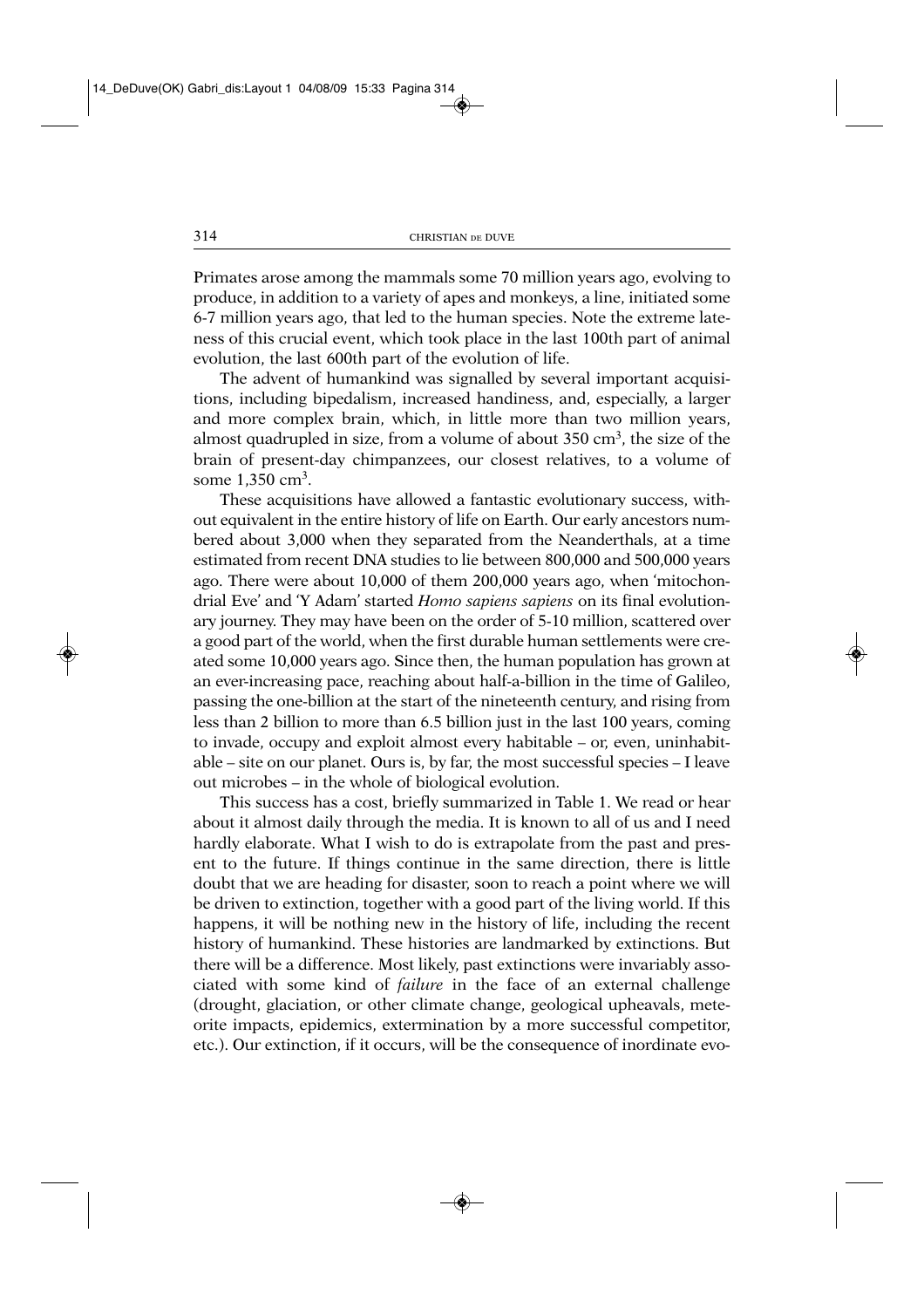Primates arose among the mammals some 70 million years ago, evolving to produce, in addition to a variety of apes and monkeys, a line, initiated some 6-7 million years ago, that led to the human species. Note the extreme lateness of this crucial event, which took place in the last 100th part of animal evolution, the last 600th part of the evolution of life.

The advent of humankind was signalled by several important acquisitions, including bipedalism, increased handiness, and, especially, a larger and more complex brain, which, in little more than two million years, almost quadrupled in size, from a volume of about 350 cm<sup>3</sup>, the size of the brain of present-day chimpanzees, our closest relatives, to a volume of some 1,350 cm<sup>3</sup>.

These acquisitions have allowed a fantastic evolutionary success, without equivalent in the entire history of life on Earth. Our early ancestors numbered about 3,000 when they separated from the Neanderthals, at a time estimated from recent DNA studies to lie between 800,000 and 500,000 years ago. There were about 10,000 of them 200,000 years ago, when 'mitochondrial Eve' and 'Y Adam' started *Homo sapiens sapiens* on its final evolutionary journey. They may have been on the order of 5-10 million, scattered over a good part of the world, when the first durable human settlements were created some 10,000 years ago. Since then, the human population has grown at an ever-increasing pace, reaching about half-a-billion in the time of Galileo, passing the one-billion at the start of the nineteenth century, and rising from less than 2 billion to more than 6.5 billion just in the last 100 years, coming to invade, occupy and exploit almost every habitable – or, even, uninhabitable – site on our planet. Ours is, by far, the most successful species – I leave out microbes – in the whole of biological evolution.

This success has a cost, briefly summarized in Table 1. We read or hear about it almost daily through the media. It is known to all of us and I need hardly elaborate. What I wish to do is extrapolate from the past and present to the future. If things continue in the same direction, there is little doubt that we are heading for disaster, soon to reach a point where we will be driven to extinction, together with a good part of the living world. If this happens, it will be nothing new in the history of life, including the recent history of humankind. These histories are landmarked by extinctions. But there will be a difference. Most likely, past extinctions were invariably associated with some kind of *failure* in the face of an external challenge (drought, glaciation, or other climate change, geological upheavals, meteorite impacts, epidemics, extermination by a more successful competitor, etc.). Our extinction, if it occurs, will be the consequence of inordinate evo-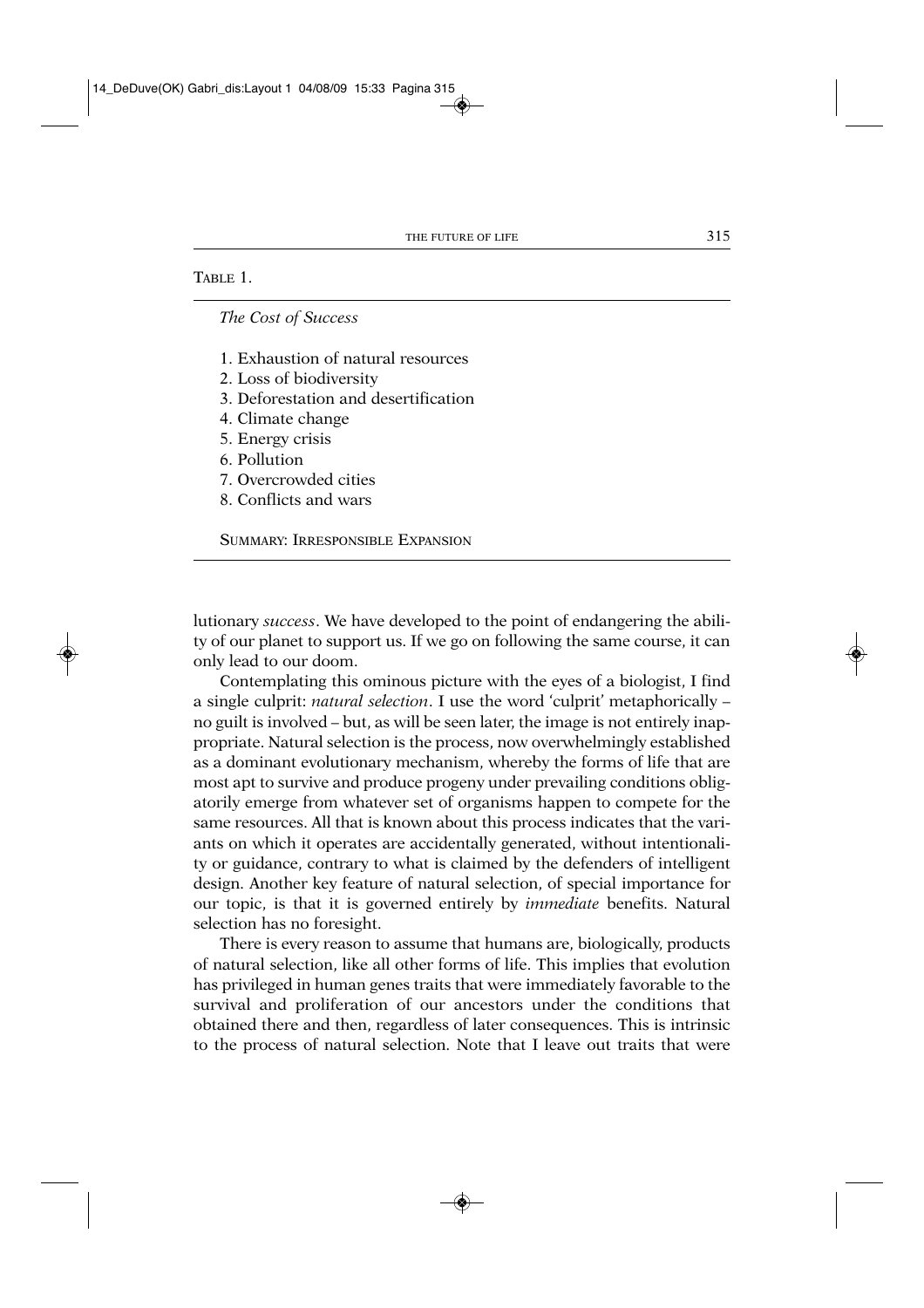## TABLE 1.

*The Cost of Success*

- 1. Exhaustion of natural resources
- 2. Loss of biodiversity
- 3. Deforestation and desertification
- 4. Climate change
- 5. Energy crisis
- 6. Pollution
- 7. Overcrowded cities
- 8. Conflicts and wars

SUMMARY: IRRESPONSIBLE EXPANSION

lutionary *success*. We have developed to the point of endangering the ability of our planet to support us. If we go on following the same course, it can only lead to our doom.

Contemplating this ominous picture with the eyes of a biologist, I find a single culprit: *natural selection*. I use the word 'culprit' metaphorically – no guilt is involved – but, as will be seen later, the image is not entirely inappropriate. Natural selection is the process, now overwhelmingly established as a dominant evolutionary mechanism, whereby the forms of life that are most apt to survive and produce progeny under prevailing conditions obligatorily emerge from whatever set of organisms happen to compete for the same resources. All that is known about this process indicates that the variants on which it operates are accidentally generated, without intentionality or guidance, contrary to what is claimed by the defenders of intelligent design. Another key feature of natural selection, of special importance for our topic, is that it is governed entirely by *immediate* benefits. Natural selection has no foresight.

There is every reason to assume that humans are, biologically, products of natural selection, like all other forms of life. This implies that evolution has privileged in human genes traits that were immediately favorable to the survival and proliferation of our ancestors under the conditions that obtained there and then, regardless of later consequences. This is intrinsic to the process of natural selection. Note that I leave out traits that were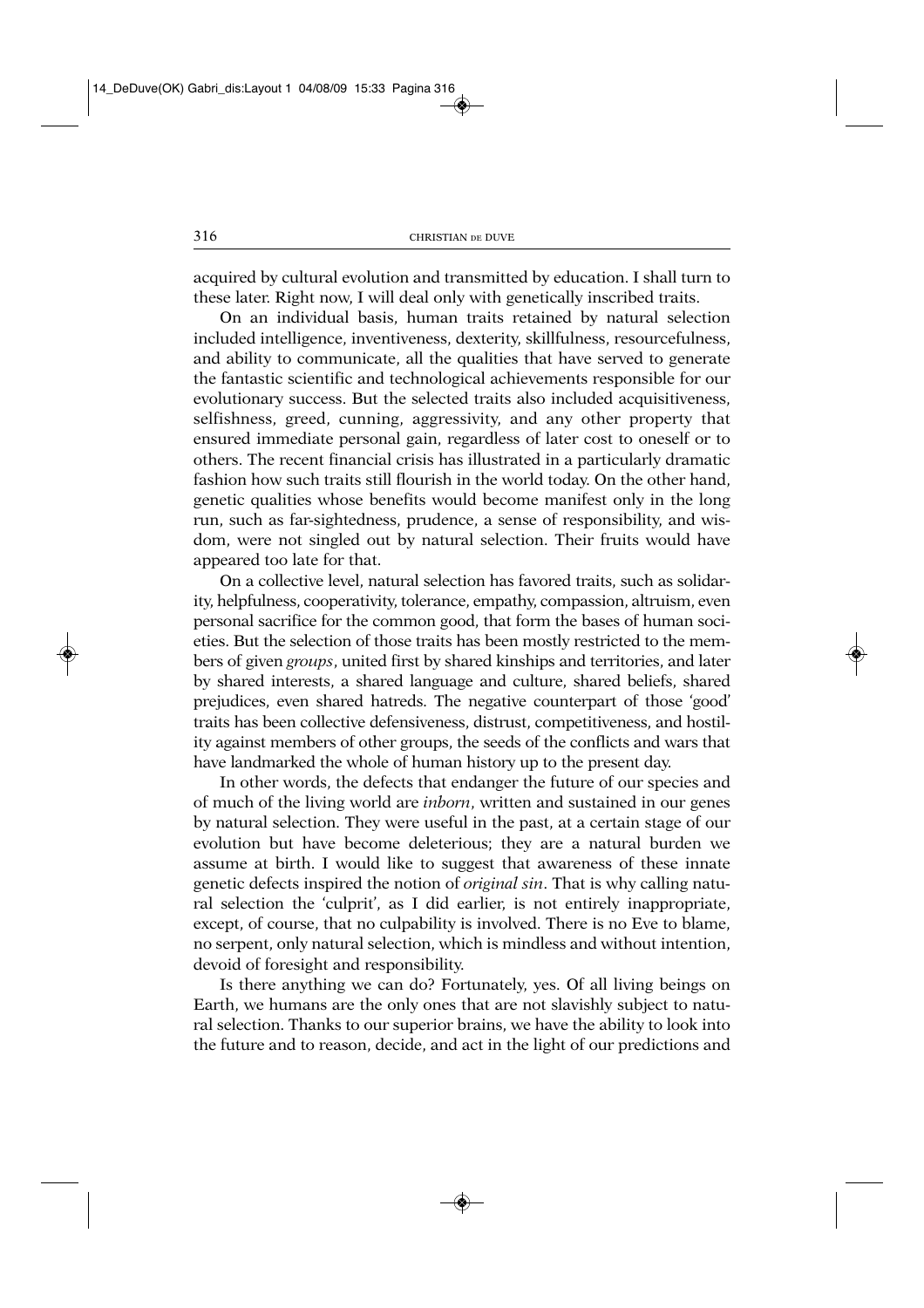acquired by cultural evolution and transmitted by education. I shall turn to these later. Right now, I will deal only with genetically inscribed traits.

On an individual basis, human traits retained by natural selection included intelligence, inventiveness, dexterity, skillfulness, resourcefulness, and ability to communicate, all the qualities that have served to generate the fantastic scientific and technological achievements responsible for our evolutionary success. But the selected traits also included acquisitiveness, selfishness, greed, cunning, aggressivity, and any other property that ensured immediate personal gain, regardless of later cost to oneself or to others. The recent financial crisis has illustrated in a particularly dramatic fashion how such traits still flourish in the world today. On the other hand, genetic qualities whose benefits would become manifest only in the long run, such as far-sightedness, prudence, a sense of responsibility, and wisdom, were not singled out by natural selection. Their fruits would have appeared too late for that.

On a collective level, natural selection has favored traits, such as solidarity, helpfulness, cooperativity, tolerance, empathy, compassion, altruism, even personal sacrifice for the common good, that form the bases of human societies. But the selection of those traits has been mostly restricted to the members of given *groups*, united first by shared kinships and territories, and later by shared interests, a shared language and culture, shared beliefs, shared prejudices, even shared hatreds. The negative counterpart of those 'good' traits has been collective defensiveness, distrust, competitiveness, and hostility against members of other groups, the seeds of the conflicts and wars that have landmarked the whole of human history up to the present day.

In other words, the defects that endanger the future of our species and of much of the living world are *inborn*, written and sustained in our genes by natural selection. They were useful in the past, at a certain stage of our evolution but have become deleterious; they are a natural burden we assume at birth. I would like to suggest that awareness of these innate genetic defects inspired the notion of *original sin*. That is why calling natural selection the 'culprit', as I did earlier, is not entirely inappropriate, except, of course, that no culpability is involved. There is no Eve to blame, no serpent, only natural selection, which is mindless and without intention, devoid of foresight and responsibility.

Is there anything we can do? Fortunately, yes. Of all living beings on Earth, we humans are the only ones that are not slavishly subject to natural selection. Thanks to our superior brains, we have the ability to look into the future and to reason, decide, and act in the light of our predictions and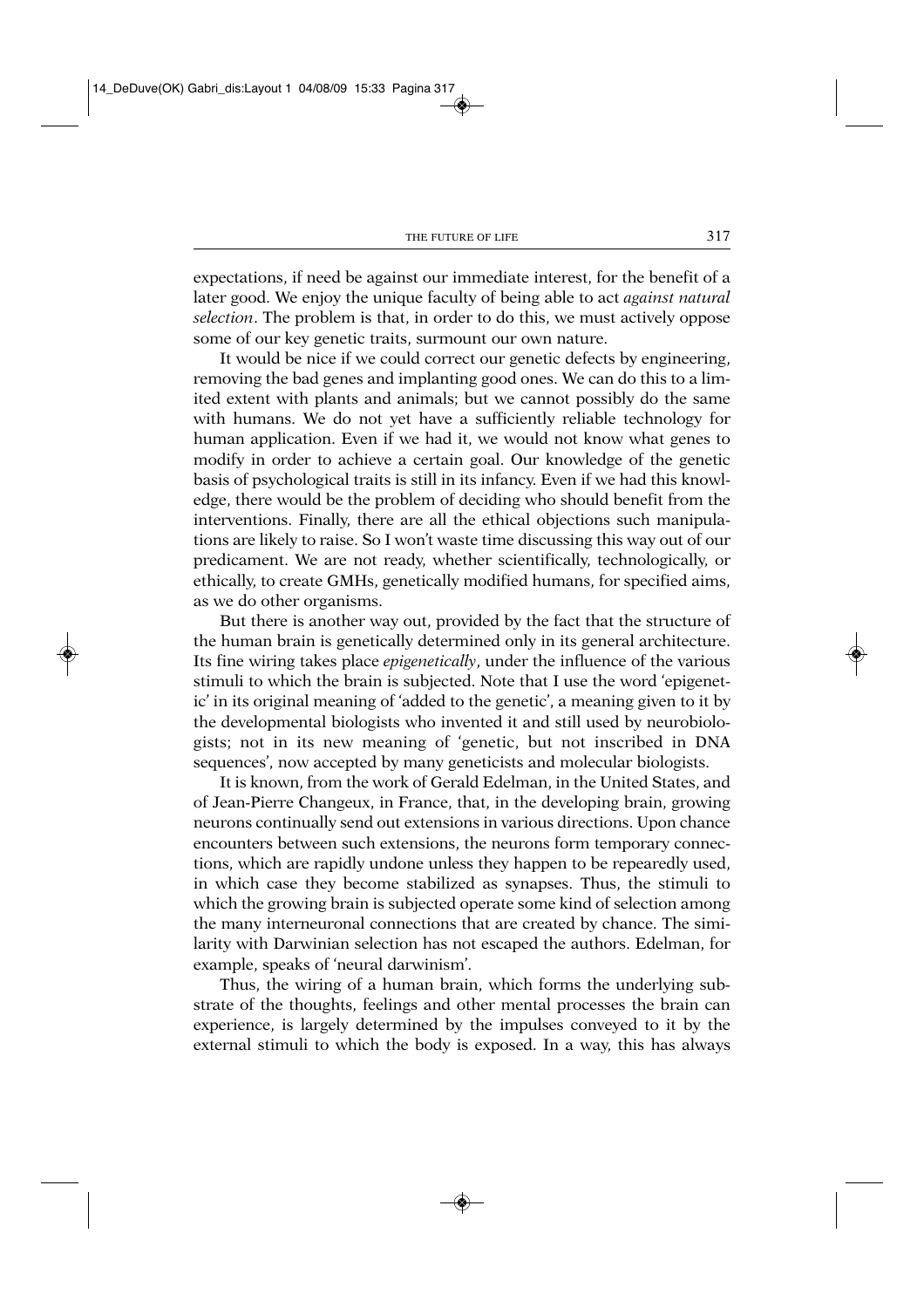expectations, if need be against our immediate interest, for the benefit of a later good. We enjoy the unique faculty of being able to act *against natural selection*. The problem is that, in order to do this, we must actively oppose some of our key genetic traits, surmount our own nature.

It would be nice if we could correct our genetic defects by engineering, removing the bad genes and implanting good ones. We can do this to a limited extent with plants and animals; but we cannot possibly do the same with humans. We do not yet have a sufficiently reliable technology for human application. Even if we had it, we would not know what genes to modify in order to achieve a certain goal. Our knowledge of the genetic basis of psychological traits is still in its infancy. Even if we had this knowledge, there would be the problem of deciding who should benefit from the interventions. Finally, there are all the ethical objections such manipulations are likely to raise. So I won't waste time discussing this way out of our predicament. We are not ready, whether scientifically, technologically, or ethically, to create GMHs, genetically modified humans, for specified aims, as we do other organisms.

But there is another way out, provided by the fact that the structure of the human brain is genetically determined only in its general architecture. Its fine wiring takes place *epigenetically*, under the influence of the various stimuli to which the brain is subjected. Note that I use the word 'epigenetic' in its original meaning of 'added to the genetic', a meaning given to it by the developmental biologists who invented it and still used by neurobiologists; not in its new meaning of 'genetic, but not inscribed in DNA sequences', now accepted by many geneticists and molecular biologists.

It is known, from the work of Gerald Edelman, in the United States, and of Jean-Pierre Changeux, in France, that, in the developing brain, growing neurons continually send out extensions in various directions. Upon chance encounters between such extensions, the neurons form temporary connections, which are rapidly undone unless they happen to be repearedly used, in which case they become stabilized as synapses. Thus, the stimuli to which the growing brain is subjected operate some kind of selection among the many interneuronal connections that are created by chance. The similarity with Darwinian selection has not escaped the authors. Edelman, for example, speaks of 'neural darwinism'.

Thus, the wiring of a human brain, which forms the underlying substrate of the thoughts, feelings and other mental processes the brain can experience, is largely determined by the impulses conveyed to it by the external stimuli to which the body is exposed. In a way, this has always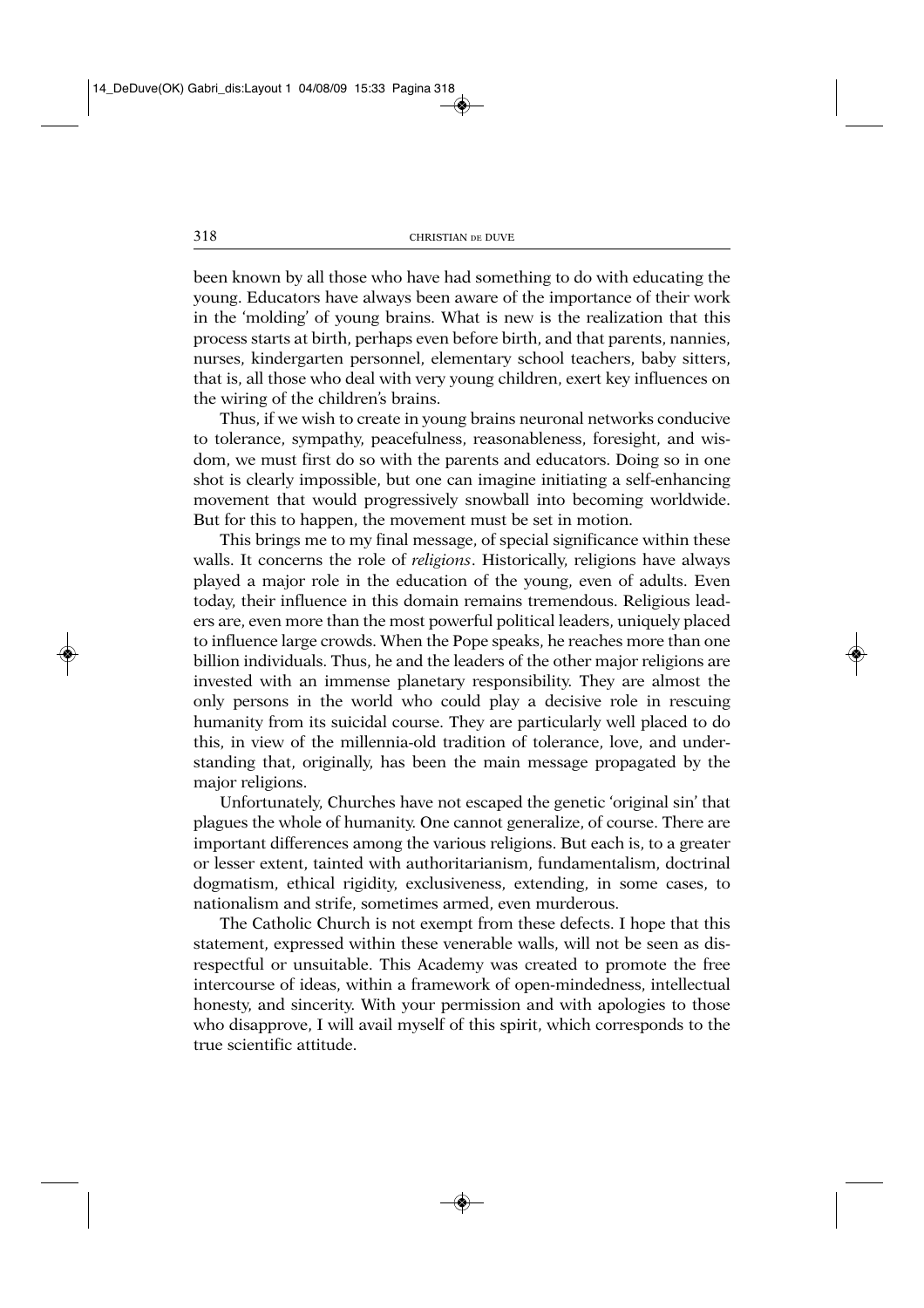been known by all those who have had something to do with educating the young. Educators have always been aware of the importance of their work in the 'molding' of young brains. What is new is the realization that this process starts at birth, perhaps even before birth, and that parents, nannies, nurses, kindergarten personnel, elementary school teachers, baby sitters, that is, all those who deal with very young children, exert key influences on the wiring of the children's brains.

Thus, if we wish to create in young brains neuronal networks conducive to tolerance, sympathy, peacefulness, reasonableness, foresight, and wisdom, we must first do so with the parents and educators. Doing so in one shot is clearly impossible, but one can imagine initiating a self-enhancing movement that would progressively snowball into becoming worldwide. But for this to happen, the movement must be set in motion.

This brings me to my final message, of special significance within these walls. It concerns the role of *religions*. Historically, religions have always played a major role in the education of the young, even of adults. Even today, their influence in this domain remains tremendous. Religious leaders are, even more than the most powerful political leaders, uniquely placed to influence large crowds. When the Pope speaks, he reaches more than one billion individuals. Thus, he and the leaders of the other major religions are invested with an immense planetary responsibility. They are almost the only persons in the world who could play a decisive role in rescuing humanity from its suicidal course. They are particularly well placed to do this, in view of the millennia-old tradition of tolerance, love, and understanding that, originally, has been the main message propagated by the major religions.

Unfortunately, Churches have not escaped the genetic 'original sin' that plagues the whole of humanity. One cannot generalize, of course. There are important differences among the various religions. But each is, to a greater or lesser extent, tainted with authoritarianism, fundamentalism, doctrinal dogmatism, ethical rigidity, exclusiveness, extending, in some cases, to nationalism and strife, sometimes armed, even murderous.

The Catholic Church is not exempt from these defects. I hope that this statement, expressed within these venerable walls, will not be seen as disrespectful or unsuitable. This Academy was created to promote the free intercourse of ideas, within a framework of open-mindedness, intellectual honesty, and sincerity. With your permission and with apologies to those who disapprove, I will avail myself of this spirit, which corresponds to the true scientific attitude.